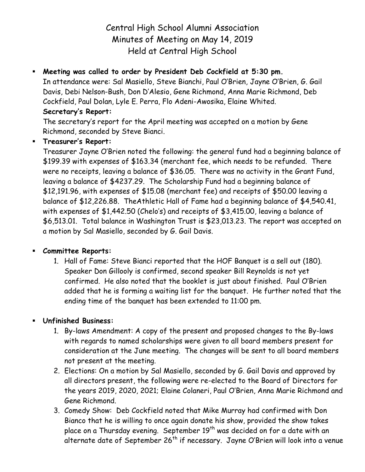Central High School Alumni Association Minutes of Meeting on May 14, 2019 Held at Central High School

# **Meeting was called to order by President Deb Cockfield at 5:30 pm.**

In attendance were: Sal Masiello, Steve Bianchi, Paul O'Brien, Jayne O'Brien, G. Gail Davis, Debi Nelson-Bush, Don D'Alesio, Gene Richmond, Anna Marie Richmond, Deb Cockfield, Paul Dolan, Lyle E. Perra, Flo Adeni-Awosika, Elaine Whited. **Secretary's Report:**

The secretary's report for the April meeting was accepted on a motion by Gene Richmond, seconded by Steve Bianci.

### **Treasurer's Report:**

Treasurer Jayne O'Brien noted the following: the general fund had a beginning balance of \$199.39 with expenses of \$163.34 (merchant fee, which needs to be refunded. There were no receipts, leaving a balance of \$36.05. There was no activity in the Grant Fund, leaving a balance of \$4237.29. The Scholarship Fund had a beginning balance of \$12,191.96, with expenses of \$15.08 (merchant fee) and receipts of \$50.00 leaving a balance of \$12,226.88. TheAthletic Hall of Fame had a beginning balance of \$4,540.41, with expenses of \$1,442.50 (Chelo's) and receipts of \$3,415.00, leaving a balance of \$6,513.01. Total balance in Washington Trust is \$23,013.23. The report was accepted on a motion by Sal Masiello, seconded by G. Gail Davis.

#### **Committee Reports:**

1. Hall of Fame: Steve Bianci reported that the HOF Banquet is a sell out (180). Speaker Don Gillooly is confirmed, second speaker Bill Reynolds is not yet confirmed. He also noted that the booklet is just about finished. Paul O'Brien added that he is forming a waiting list for the banquet. He further noted that the ending time of the banquet has been extended to 11:00 pm.

#### **Unfinished Business:**

- 1. By-laws Amendment: A copy of the present and proposed changes to the By-laws with regards to named scholarships were given to all board members present for consideration at the June meeting. The changes will be sent to all board members not present at the meeting.
- 2. Elections: On a motion by Sal Masiello, seconded by G. Gail Davis and approved by all directors present, the following were re-elected to the Board of Directors for the years 2019, 2020, 2021; Elaine Colaneri, Paul O'Brien, Anna Marie Richmond and Gene Richmond.
- 3. Comedy Show: Deb Cockfield noted that Mike Murray had confirmed with Don Bianco that he is willing to once again donate his show, provided the show takes place on a Thursday evening. September 19<sup>th</sup> was decided on for a date with an alternate date of September  $26<sup>th</sup>$  if necessary. Jayne O'Brien will look into a venue